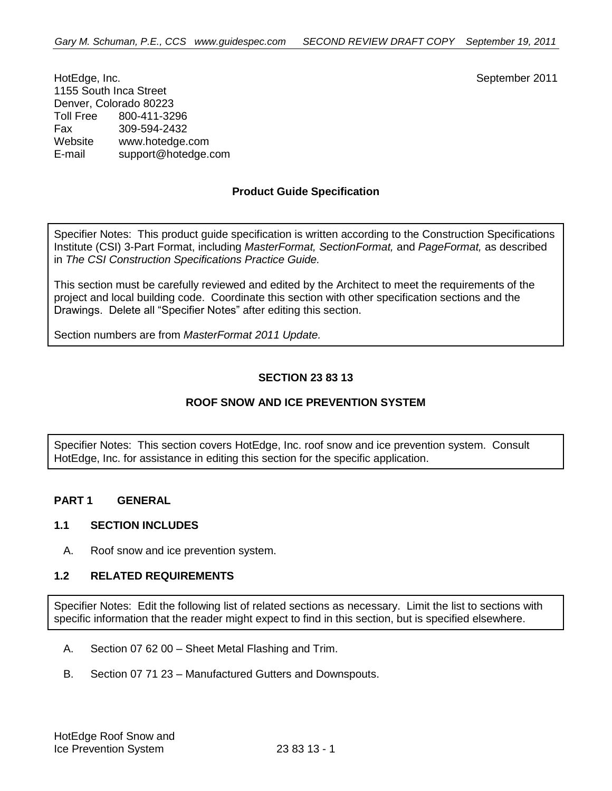HotEdge, Inc. September 2011 1155 South Inca Street Denver, Colorado 80223<br>Toll Free 800-411-32 Toll Free 800-411-3296 Fax 309-594-2432 Website [www.hotedge.com](http://www.hotedge.com/) E-mail suppor[t@hotedge.com](mailto:bbb@aaaa.com)

# **Product Guide Specification**

Specifier Notes: This product guide specification is written according to the Construction Specifications Institute (CSI) 3-Part Format, including *MasterFormat, SectionFormat,* and *PageFormat,* as described in *The CSI Construction Specifications Practice Guide.*

This section must be carefully reviewed and edited by the Architect to meet the requirements of the project and local building code. Coordinate this section with other specification sections and the Drawings. Delete all "Specifier Notes" after editing this section.

Section numbers are from *MasterFormat 2011 Update.*

# **SECTION 23 83 13**

# **ROOF SNOW AND ICE PREVENTION SYSTEM**

Specifier Notes: This section covers HotEdge, Inc. roof snow and ice prevention system. Consult HotEdge, Inc. for assistance in editing this section for the specific application.

# **PART 1 GENERAL**

#### **1.1 SECTION INCLUDES**

A. Roof snow and ice prevention system.

#### **1.2 RELATED REQUIREMENTS**

Specifier Notes: Edit the following list of related sections as necessary. Limit the list to sections with specific information that the reader might expect to find in this section, but is specified elsewhere.

- A. Section 07 62 00 Sheet Metal Flashing and Trim.
- B. Section 07 71 23 Manufactured Gutters and Downspouts.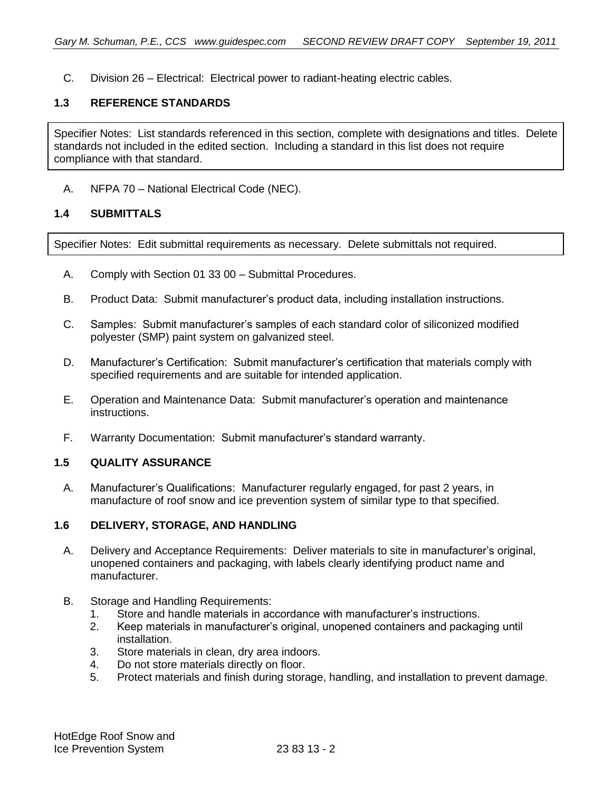C. Division 26 – Electrical: Electrical power to radiant-heating electric cables.

# **1.3 REFERENCE STANDARDS**

Specifier Notes: List standards referenced in this section, complete with designations and titles. Delete standards not included in the edited section. Including a standard in this list does not require compliance with that standard.

A. NFPA 70 – National Electrical Code (NEC).

### **1.4 SUBMITTALS**

Specifier Notes: Edit submittal requirements as necessary. Delete submittals not required.

- A. Comply with Section 01 33 00 Submittal Procedures.
- B. Product Data: Submit manufacturer's product data, including installation instructions.
- C. Samples: Submit manufacturer's samples of each standard color of siliconized modified polyester (SMP) paint system on galvanized steel.
- D. Manufacturer's Certification: Submit manufacturer's certification that materials comply with specified requirements and are suitable for intended application.
- E. Operation and Maintenance Data: Submit manufacturer's operation and maintenance instructions.
- F. Warranty Documentation: Submit manufacturer's standard warranty.

# **1.5 QUALITY ASSURANCE**

A. Manufacturer's Qualifications: Manufacturer regularly engaged, for past 2 years, in manufacture of roof snow and ice prevention system of similar type to that specified.

# **1.6 DELIVERY, STORAGE, AND HANDLING**

- A. Delivery and Acceptance Requirements: Deliver materials to site in manufacturer's original, unopened containers and packaging, with labels clearly identifying product name and manufacturer.
- B. Storage and Handling Requirements:
	- 1. Store and handle materials in accordance with manufacturer's instructions.
	- 2. Keep materials in manufacturer's original, unopened containers and packaging until installation.
	- 3. Store materials in clean, dry area indoors.
	- 4. Do not store materials directly on floor.
	- 5. Protect materials and finish during storage, handling, and installation to prevent damage.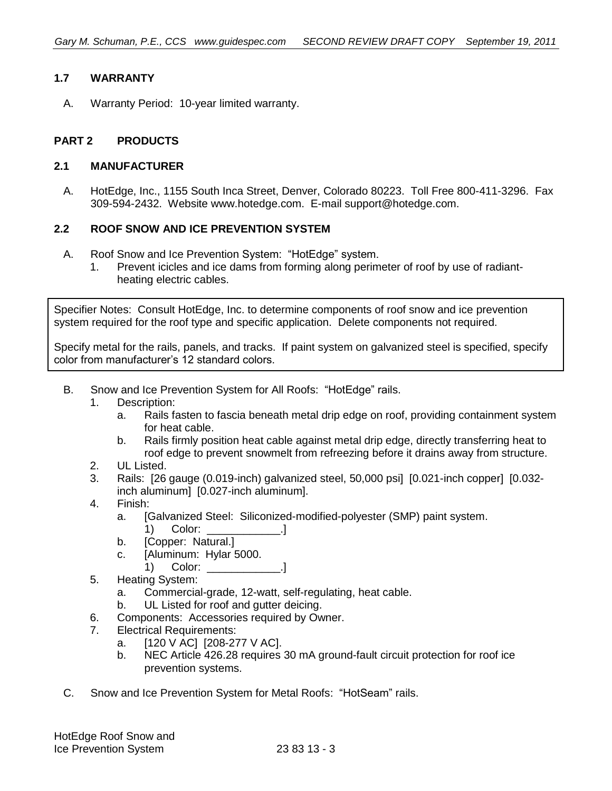# **1.7 WARRANTY**

A. Warranty Period: 10-year limited warranty.

### **PART 2 PRODUCTS**

### **2.1 MANUFACTURER**

A. HotEdge, Inc., 1155 South Inca Street, Denver, Colorado 80223. Toll Free 800-411-3296. Fax 309-594-2432. Website [www.hotedge.com.](http://www.hotedge.com/) E-mail suppor[t@hotedge.com.](mailto:bbb@aaaa.com)

### **2.2 ROOF SNOW AND ICE PREVENTION SYSTEM**

- A. Roof Snow and Ice Prevention System: "HotEdge" system.
	- 1. Prevent icicles and ice dams from forming along perimeter of roof by use of radiantheating electric cables.

Specifier Notes: Consult HotEdge, Inc. to determine components of roof snow and ice prevention system required for the roof type and specific application. Delete components not required.

Specify metal for the rails, panels, and tracks. If paint system on galvanized steel is specified, specify color from manufacturer's 12 standard colors.

- B. Snow and Ice Prevention System for All Roofs: "HotEdge" rails.
	- 1. Description:
		- a. Rails fasten to fascia beneath metal drip edge on roof, providing containment system for heat cable.
		- b. Rails firmly position heat cable against metal drip edge, directly transferring heat to roof edge to prevent snowmelt from refreezing before it drains away from structure.
	- 2. UL Listed.
	- 3. Rails: [26 gauge (0.019-inch) galvanized steel, 50,000 psi] [0.021-inch copper] [0.032 inch aluminum] [0.027-inch aluminum].
	- 4. Finish:
		- a. [Galvanized Steel: Siliconized-modified-polyester (SMP) paint system.
			- 1) Color: \_\_\_\_\_\_\_\_\_\_\_\_.]
		- b. [Copper: Natural.]
		- c. [Aluminum: Hylar 5000.
			- 1) Color: \_\_\_\_\_\_\_\_\_\_\_\_.]
	- 5. Heating System:
		- a. Commercial-grade, 12-watt, self-regulating, heat cable.
		- b. UL Listed for roof and gutter deicing.
	- 6. Components: Accessories required by Owner.
	- 7. Electrical Requirements:
		- a. [120 V AC] [208-277 V AC].
		- b. NEC Article 426.28 requires 30 mA ground-fault circuit protection for roof ice prevention systems.
- C. Snow and Ice Prevention System for Metal Roofs: "HotSeam" rails.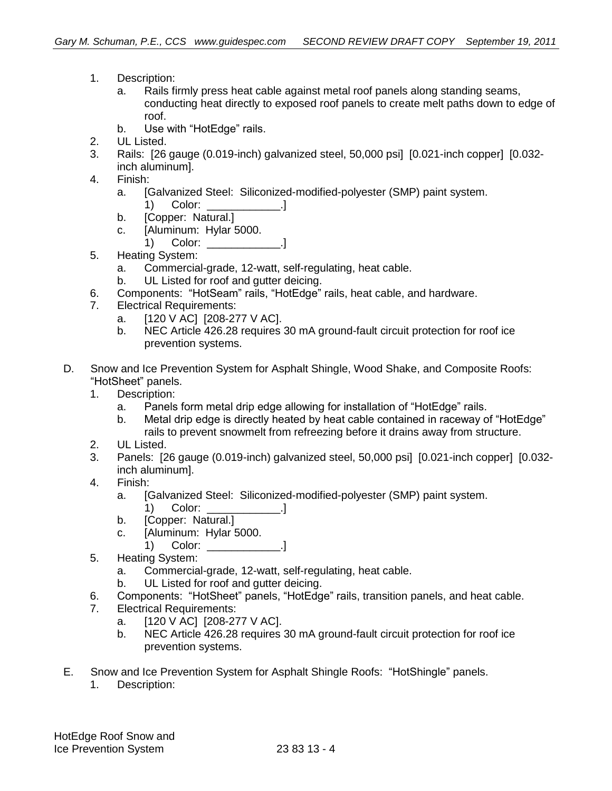- 1. Description:
	- a. Rails firmly press heat cable against metal roof panels along standing seams, conducting heat directly to exposed roof panels to create melt paths down to edge of roof.
	- b. Use with "HotEdge" rails.
- 2. UL Listed.
- 3. Rails: [26 gauge (0.019-inch) galvanized steel, 50,000 psi] [0.021-inch copper] [0.032 inch aluminum].
- 4. Finish:
	- a. [Galvanized Steel: Siliconized-modified-polyester (SMP) paint system. 1) Color: 1
	- b. [Copper: Natural.]
	- c. [Aluminum: Hylar 5000. 1) Color: 1
- 5. Heating System:
	- a. Commercial-grade, 12-watt, self-regulating, heat cable.
	- b. UL Listed for roof and gutter deicing.
- 6. Components: "HotSeam" rails, "HotEdge" rails, heat cable, and hardware.
- 7. Electrical Requirements:
	- a. [120 V AC] [208-277 V AC].
	- b. NEC Article 426.28 requires 30 mA ground-fault circuit protection for roof ice prevention systems.
- D. Snow and Ice Prevention System for Asphalt Shingle, Wood Shake, and Composite Roofs: "HotSheet" panels.
	- 1. Description:
		- a. Panels form metal drip edge allowing for installation of "HotEdge" rails.
		- b. Metal drip edge is directly heated by heat cable contained in raceway of "HotEdge" rails to prevent snowmelt from refreezing before it drains away from structure.
	- 2. UL Listed.
	- 3. Panels: [26 gauge (0.019-inch) galvanized steel, 50,000 psi] [0.021-inch copper] [0.032 inch aluminum].
	- 4. Finish:
		- a. [Galvanized Steel: Siliconized-modified-polyester (SMP) paint system. 1) Color: 1
		- b. [Copper: Natural.]
		- c. [Aluminum: Hylar 5000.
			- 1) Color: \_\_\_\_\_\_\_\_\_\_\_\_.]
	- 5. Heating System:
		- a. Commercial-grade, 12-watt, self-regulating, heat cable.
		- b. UL Listed for roof and gutter deicing.
	- 6. Components: "HotSheet" panels, "HotEdge" rails, transition panels, and heat cable.
	- 7. Electrical Requirements:
		- a. [120 V AC] [208-277 V AC].
		- b. NEC Article 426.28 requires 30 mA ground-fault circuit protection for roof ice prevention systems.
- E. Snow and Ice Prevention System for Asphalt Shingle Roofs: "HotShingle" panels.
	- 1. Description: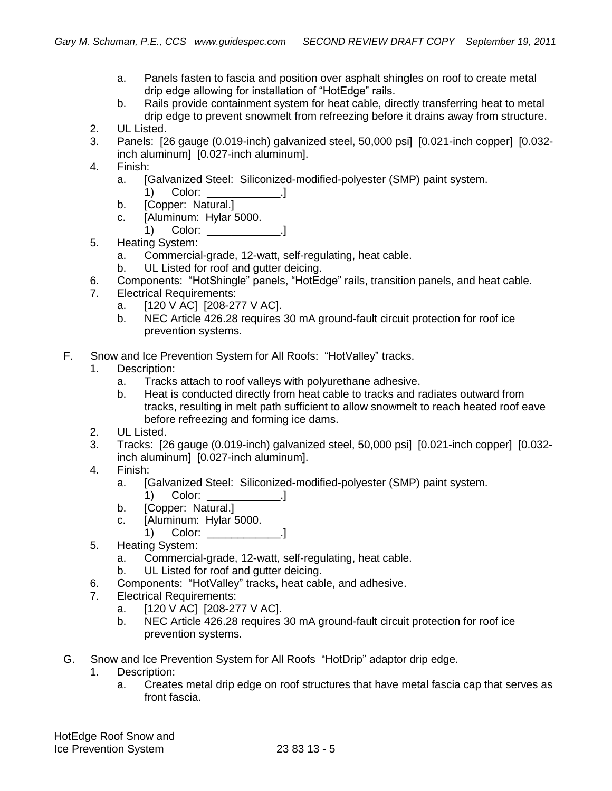- a. Panels fasten to fascia and position over asphalt shingles on roof to create metal drip edge allowing for installation of "HotEdge" rails.
- b. Rails provide containment system for heat cable, directly transferring heat to metal drip edge to prevent snowmelt from refreezing before it drains away from structure.
- 2. UL Listed.
- 3. Panels: [26 gauge (0.019-inch) galvanized steel, 50,000 psi] [0.021-inch copper] [0.032 inch aluminum] [0.027-inch aluminum].
- 4. Finish:
	- a. [Galvanized Steel: Siliconized-modified-polyester (SMP) paint system. 1) Color: \_\_\_\_\_\_\_\_\_\_\_\_.]
	- b. [Copper: Natural.]
	- c. [Aluminum: Hylar 5000.
		- 1) Color: \_\_\_\_\_\_\_\_\_\_\_\_.]
- 5. Heating System:
	- a. Commercial-grade, 12-watt, self-regulating, heat cable.
	- b. UL Listed for roof and gutter deicing.
- 6. Components: "HotShingle" panels, "HotEdge" rails, transition panels, and heat cable.
- 7. Electrical Requirements:
	- a. [120 V AC] [208-277 V AC].
	- b. NEC Article 426.28 requires 30 mA ground-fault circuit protection for roof ice prevention systems.
- F. Snow and Ice Prevention System for All Roofs: "HotValley" tracks.
	- 1. Description:
		- a. Tracks attach to roof valleys with polyurethane adhesive.
		- b. Heat is conducted directly from heat cable to tracks and radiates outward from tracks, resulting in melt path sufficient to allow snowmelt to reach heated roof eave before refreezing and forming ice dams.
	- 2. UL Listed.
	- 3. Tracks: [26 gauge (0.019-inch) galvanized steel, 50,000 psi] [0.021-inch copper] [0.032 inch aluminum] [0.027-inch aluminum].
	- 4. Finish:
		- a. [Galvanized Steel: Siliconized-modified-polyester (SMP) paint system. 1) Color: [1]
		- b. [Copper: Natural.]
		- c. [Aluminum: Hylar 5000.
			- 1) Color: \_\_\_\_\_\_\_\_\_\_\_\_.]
	- 5. Heating System:
		- a. Commercial-grade, 12-watt, self-regulating, heat cable.
		- b. UL Listed for roof and gutter deicing.
	- 6. Components: "HotValley" tracks, heat cable, and adhesive.
	- 7. Electrical Requirements:
		- a. [120 V AC] [208-277 V AC].
		- b. NEC Article 426.28 requires 30 mA ground-fault circuit protection for roof ice prevention systems.
- G. Snow and Ice Prevention System for All Roofs "HotDrip" adaptor drip edge.
	- 1. Description:
		- a. Creates metal drip edge on roof structures that have metal fascia cap that serves as front fascia.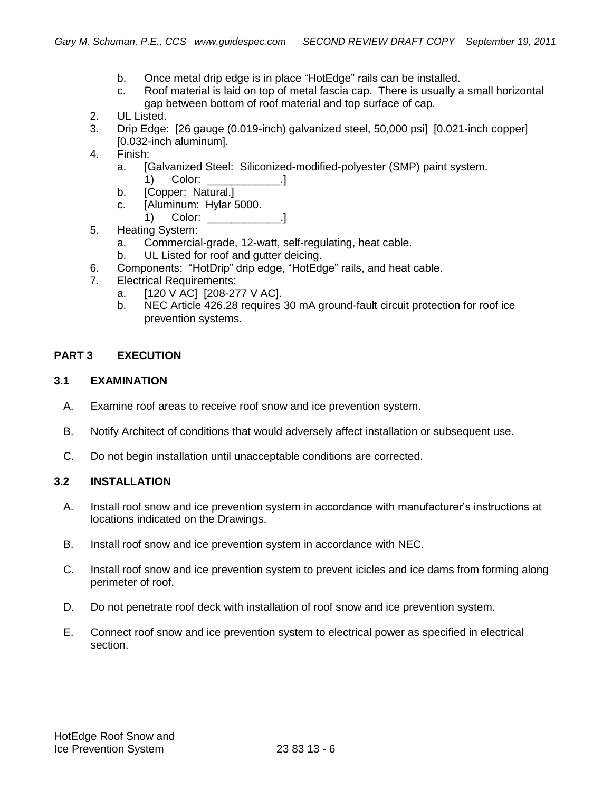- b. Once metal drip edge is in place "HotEdge" rails can be installed.
- c. Roof material is laid on top of metal fascia cap. There is usually a small horizontal gap between bottom of roof material and top surface of cap.
- 2. UL Listed.
- 3. Drip Edge: [26 gauge (0.019-inch) galvanized steel, 50,000 psi] [0.021-inch copper] [0.032-inch aluminum].
- 4. Finish:
	- a. [Galvanized Steel: Siliconized-modified-polyester (SMP) paint system. 1) Color: 1
	- b. [Copper: Natural.]
	- c. [Aluminum: Hylar 5000.
		- 1) Color: \_\_\_\_\_\_\_\_\_\_\_\_\_\_\_\_.]
- 5. Heating System:
	- a. Commercial-grade, 12-watt, self-regulating, heat cable.
	- b. UL Listed for roof and gutter deicing.
- 6. Components: "HotDrip" drip edge, "HotEdge" rails, and heat cable.
- 7. Electrical Requirements:
	- a. [120 V AC] [208-277 V AC].
	- b. NEC Article 426.28 requires 30 mA ground-fault circuit protection for roof ice prevention systems.

### **PART 3 EXECUTION**

#### **3.1 EXAMINATION**

- A. Examine roof areas to receive roof snow and ice prevention system.
- B. Notify Architect of conditions that would adversely affect installation or subsequent use.
- C. Do not begin installation until unacceptable conditions are corrected.

#### **3.2 INSTALLATION**

- A. Install roof snow and ice prevention system in accordance with manufacturer's instructions at locations indicated on the Drawings.
- B. Install roof snow and ice prevention system in accordance with NEC.
- C. Install roof snow and ice prevention system to prevent icicles and ice dams from forming along perimeter of roof.
- D. Do not penetrate roof deck with installation of roof snow and ice prevention system.
- E. Connect roof snow and ice prevention system to electrical power as specified in electrical section.